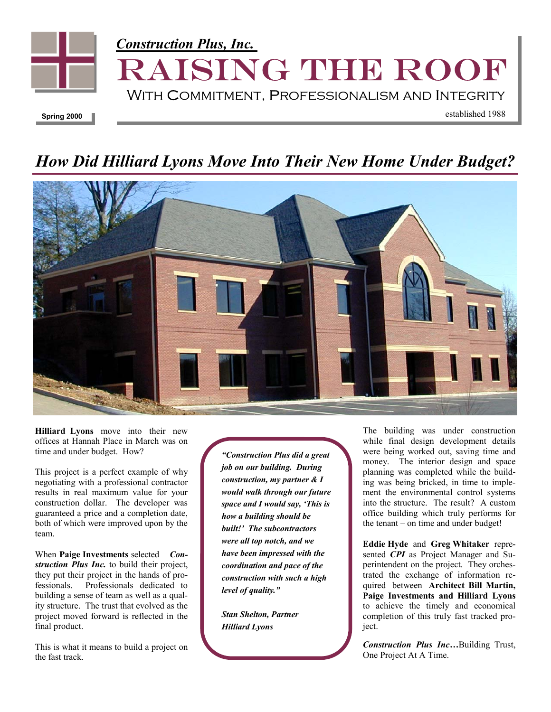

## *How Did Hilliard Lyons Move Into Their New Home Under Budget?*



**Hilliard Lyons** move into their new offices at Hannah Place in March was on time and under budget. How?

This project is a perfect example of why negotiating with a professional contractor results in real maximum value for your construction dollar. The developer was guaranteed a price and a completion date, both of which were improved upon by the team.

When **Paige Investments** selected *Construction Plus Inc.* to build their project, they put their project in the hands of professionals. Professionals dedicated to building a sense of team as well as a quality structure. The trust that evolved as the project moved forward is reflected in the final product.

This is what it means to build a project on the fast track.

*"Construction Plus did a great job on our building. During construction, my partner & I would walk through our future space and I would say, 'This is how a building should be built!' The subcontractors were all top notch, and we have been impressed with the coordination and pace of the construction with such a high level of quality."* 

*Stan Shelton, Partner Hilliard Lyons* 

The building was under construction while final design development details were being worked out, saving time and money. The interior design and space planning was completed while the building was being bricked, in time to implement the environmental control systems into the structure. The result? A custom office building which truly performs for the tenant – on time and under budget!

**Eddie Hyde** and **Greg Whitaker** represented *CPI* as Project Manager and Superintendent on the project. They orchestrated the exchange of information required between **Architect Bill Martin, Paige Investments and Hilliard Lyons** to achieve the timely and economical completion of this truly fast tracked project.

*Construction Plus Inc…*Building Trust, One Project At A Time.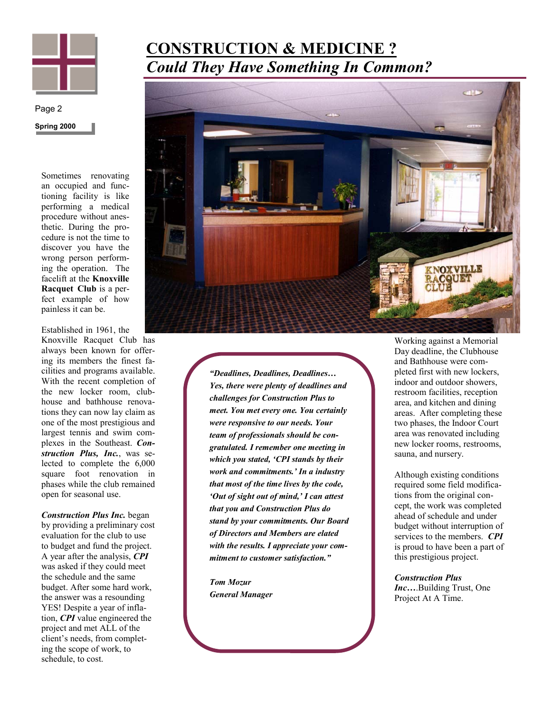

## **Spring 2000**  Page 2

Sometimes renovating an occupied and functioning facility is like performing a medical procedure without anesthetic. During the procedure is not the time to discover you have the wrong person performing the operation. The facelift at the **Knoxville Racquet Club** is a perfect example of how painless it can be.

Established in 1961, the Knoxville Racquet Club has always been known for offering its members the finest facilities and programs available. With the recent completion of the new locker room, clubhouse and bathhouse renovations they can now lay claim as one of the most prestigious and largest tennis and swim complexes in the Southeast. *Construction Plus, Inc.*, was selected to complete the 6,000 square foot renovation in phases while the club remained open for seasonal use.

*Construction Plus Inc.* began by providing a preliminary cost evaluation for the club to use to budget and fund the project. A year after the analysis, *CPI*  was asked if they could meet the schedule and the same budget. After some hard work, the answer was a resounding YES! Despite a year of inflation, *CPI* value engineered the project and met ALL of the client's needs, from completing the scope of work, to schedule, to cost.

## **CONSTRUCTION & MEDICINE ?** *Could They Have Something In Common?*



*"Deadlines, Deadlines, Deadlines… Yes, there were plenty of deadlines and challenges for Construction Plus to meet. You met every one. You certainly were responsive to our needs. Your team of professionals should be congratulated. I remember one meeting in which you stated, 'CPI stands by their work and commitments.' In a industry that most of the time lives by the code, 'Out of sight out of mind,' I can attest that you and Construction Plus do stand by your commitments. Our Board of Directors and Members are elated with the results. I appreciate your commitment to customer satisfaction."* 

*Tom Mozur General Manager*  Working against a Memorial Day deadline, the Clubhouse and Bathhouse were completed first with new lockers, indoor and outdoor showers, restroom facilities, reception area, and kitchen and dining areas. After completing these two phases, the Indoor Court area was renovated including new locker rooms, restrooms, sauna, and nursery.

Although existing conditions required some field modifications from the original concept, the work was completed ahead of schedule and under budget without interruption of services to the members. *CPI* is proud to have been a part of this prestigious project.

*Construction Plus Inc…*.Building Trust, One Project At A Time.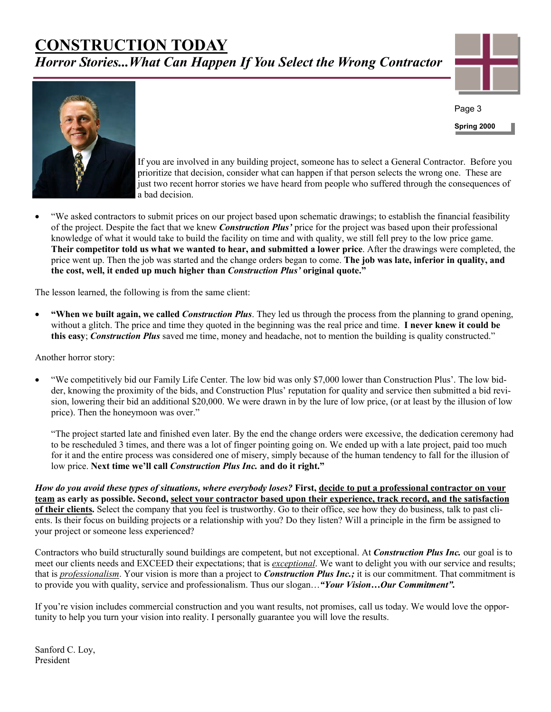## **CONSTRUCTION TODAY** *Horror Stories...What Can Happen If You Select the Wrong Contractor*



**Spring 2000** 

Page 3



If you are involved in any building project, someone has to select a General Contractor. Before you prioritize that decision, consider what can happen if that person selects the wrong one. These are just two recent horror stories we have heard from people who suffered through the consequences of a bad decision.

• "We asked contractors to submit prices on our project based upon schematic drawings; to establish the financial feasibility of the project. Despite the fact that we knew *Construction Plus'* price for the project was based upon their professional knowledge of what it would take to build the facility on time and with quality, we still fell prey to the low price game. **Their competitor told us what we wanted to hear, and submitted a lower price**. After the drawings were completed, the price went up. Then the job was started and the change orders began to come. **The job was late, inferior in quality, and the cost, well, it ended up much higher than** *Construction Plus'* **original quote."**

The lesson learned, the following is from the same client:

• **"When we built again, we called** *Construction Plus*. They led us through the process from the planning to grand opening, without a glitch. The price and time they quoted in the beginning was the real price and time. **I never knew it could be this easy**; *Construction Plus* saved me time, money and headache, not to mention the building is quality constructed."

Another horror story:

• "We competitively bid our Family Life Center. The low bid was only \$7,000 lower than Construction Plus'. The low bidder, knowing the proximity of the bids, and Construction Plus' reputation for quality and service then submitted a bid revision, lowering their bid an additional \$20,000. We were drawn in by the lure of low price, (or at least by the illusion of low price). Then the honeymoon was over."

"The project started late and finished even later. By the end the change orders were excessive, the dedication ceremony had to be rescheduled 3 times, and there was a lot of finger pointing going on. We ended up with a late project, paid too much for it and the entire process was considered one of misery, simply because of the human tendency to fall for the illusion of low price. **Next time we'll call** *Construction Plus Inc.* **and do it right."** 

*How do you avoid these types of situations, where everybody loses?* **First, decide to put a professional contractor on your team as early as possible. Second, select your contractor based upon their experience, track record, and the satisfaction of their clients.** Select the company that you feel is trustworthy. Go to their office, see how they do business, talk to past clients. Is their focus on building projects or a relationship with you? Do they listen? Will a principle in the firm be assigned to your project or someone less experienced?

Contractors who build structurally sound buildings are competent, but not exceptional. At *Construction Plus Inc.* our goal is to meet our clients needs and EXCEED their expectations; that is *exceptional*. We want to delight you with our service and results; that is *professionalism*. Your vision is more than a project to *Construction Plus Inc.;* it is our commitment. That commitment is to provide you with quality, service and professionalism. Thus our slogan…*"Your Vision…Our Commitment".*

If you're vision includes commercial construction and you want results, not promises, call us today. We would love the opportunity to help you turn your vision into reality. I personally guarantee you will love the results.

Sanford C. Loy, President